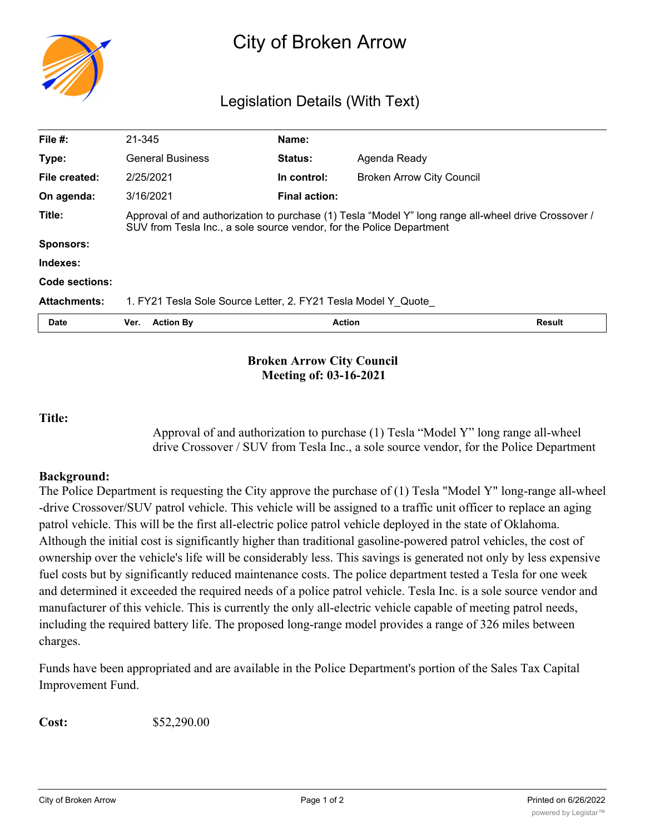

# City of Broken Arrow

# Legislation Details (With Text)

| File $#$ :          | 21-345                                                                                                                                                                       | Name:                |                                  |               |
|---------------------|------------------------------------------------------------------------------------------------------------------------------------------------------------------------------|----------------------|----------------------------------|---------------|
| Type:               | <b>General Business</b>                                                                                                                                                      | <b>Status:</b>       | Agenda Ready                     |               |
| File created:       | 2/25/2021                                                                                                                                                                    | In control:          | <b>Broken Arrow City Council</b> |               |
| On agenda:          | 3/16/2021                                                                                                                                                                    | <b>Final action:</b> |                                  |               |
| Title:              | Approval of and authorization to purchase (1) Tesla "Model Y" long range all-wheel drive Crossover /<br>SUV from Tesla Inc., a sole source vendor, for the Police Department |                      |                                  |               |
| <b>Sponsors:</b>    |                                                                                                                                                                              |                      |                                  |               |
| Indexes:            |                                                                                                                                                                              |                      |                                  |               |
| Code sections:      |                                                                                                                                                                              |                      |                                  |               |
| <b>Attachments:</b> | 1. FY21 Tesla Sole Source Letter, 2. FY21 Tesla Model Y Quote                                                                                                                |                      |                                  |               |
| Date                | <b>Action By</b><br>Ver.                                                                                                                                                     | <b>Action</b>        |                                  | <b>Result</b> |
|                     |                                                                                                                                                                              |                      |                                  |               |

## **Broken Arrow City Council Meeting of: 03-16-2021**

#### **Title:**

Approval of and authorization to purchase (1) Tesla "Model Y" long range all-wheel drive Crossover / SUV from Tesla Inc., a sole source vendor, for the Police Department

#### **Background:**

The Police Department is requesting the City approve the purchase of (1) Tesla "Model Y" long-range all-wheel -drive Crossover/SUV patrol vehicle. This vehicle will be assigned to a traffic unit officer to replace an aging patrol vehicle. This will be the first all-electric police patrol vehicle deployed in the state of Oklahoma. Although the initial cost is significantly higher than traditional gasoline-powered patrol vehicles, the cost of ownership over the vehicle's life will be considerably less. This savings is generated not only by less expensive fuel costs but by significantly reduced maintenance costs. The police department tested a Tesla for one week and determined it exceeded the required needs of a police patrol vehicle. Tesla Inc. is a sole source vendor and manufacturer of this vehicle. This is currently the only all-electric vehicle capable of meeting patrol needs, including the required battery life. The proposed long-range model provides a range of 326 miles between charges.

Funds have been appropriated and are available in the Police Department's portion of the Sales Tax Capital Improvement Fund.

**Cost:** \$52,290.00